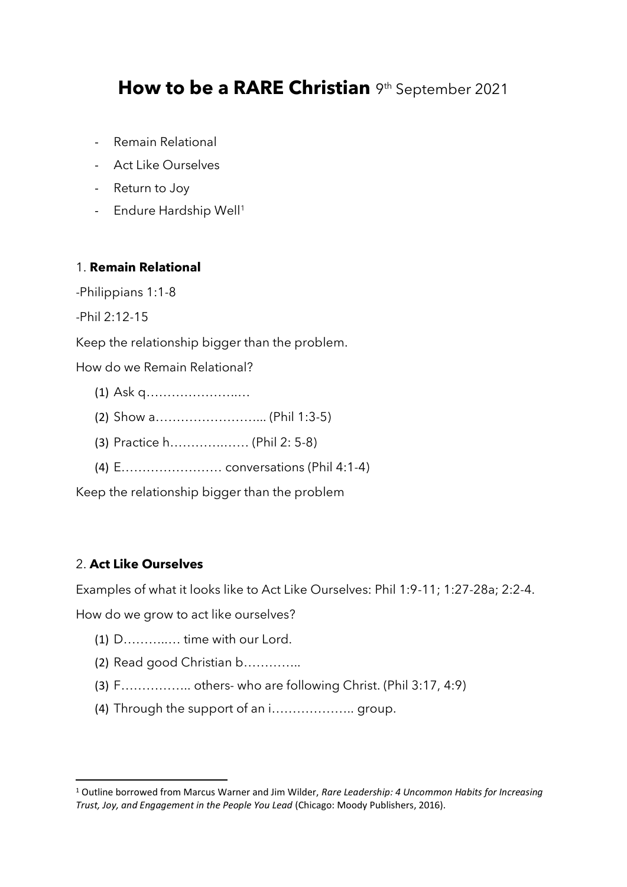# How to be a RARE Christian 9th September 2021

- Remain Relational
- Act Like Ourselves
- Return to Joy
- Endure Hardship Well<sup>1</sup>

## 1. **Remain Relational**

-Philippians 1:1-8

-Phil 2:12-15

Keep the relationship bigger than the problem.

How do we Remain Relational?

- (1) Ask q………………….…
- (2) Show a……………………... (Phil 1:3-5)
- (3) Practice h………….…… (Phil 2: 5-8)
- (4) E…………………… conversations (Phil 4:1-4)

Keep the relationship bigger than the problem

## 2. **Act Like Ourselves**

Examples of what it looks like to Act Like Ourselves: Phil 1:9-11; 1:27-28a; 2:2-4.

How do we grow to act like ourselves?

- (1) D………..… time with our Lord.
- (2) Read good Christian b…………..
- (3) F…………….. others- who are following Christ. (Phil 3:17, 4:9)
- (4) Through the support of an i……………….. group.

<sup>1</sup> Outline borrowed from Marcus Warner and Jim Wilder, *Rare Leadership: 4 Uncommon Habits for Increasing Trust, Joy, and Engagement in the People You Lead* (Chicago: Moody Publishers, 2016).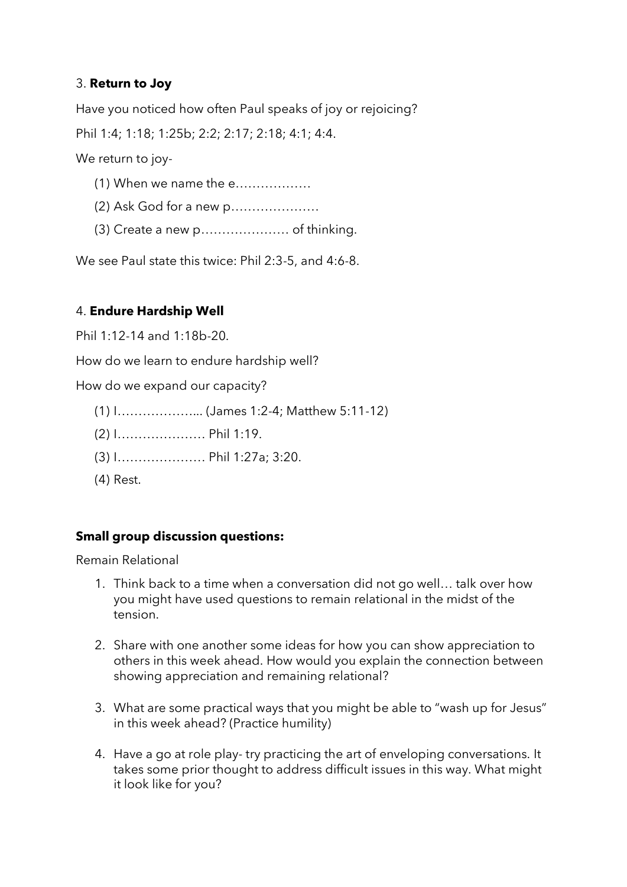## 3. **Return to Joy**

Have you noticed how often Paul speaks of joy or rejoicing? Phil 1:4; 1:18; 1:25b; 2:2; 2:17; 2:18; 4:1; 4:4. We return to joy-

- (1) When we name the e………………
- (2) Ask God for a new p…………………
- (3) Create a new p………………… of thinking.

We see Paul state this twice: Phil 2:3-5, and 4:6-8.

## 4. **Endure Hardship Well**

Phil 1:12-14 and 1:18b-20.

How do we learn to endure hardship well?

How do we expand our capacity?

- (1) I………………... (James 1:2-4; Matthew 5:11-12)
- (2) I………………… Phil 1:19.
- (3) I………………… Phil 1:27a; 3:20.
- (4) Rest.

## **Small group discussion questions:**

Remain Relational

- 1. Think back to a time when a conversation did not go well… talk over how you might have used questions to remain relational in the midst of the tension.
- 2. Share with one another some ideas for how you can show appreciation to others in this week ahead. How would you explain the connection between showing appreciation and remaining relational?
- 3. What are some practical ways that you might be able to "wash up for Jesus" in this week ahead? (Practice humility)
- 4. Have a go at role play- try practicing the art of enveloping conversations. It takes some prior thought to address difficult issues in this way. What might it look like for you?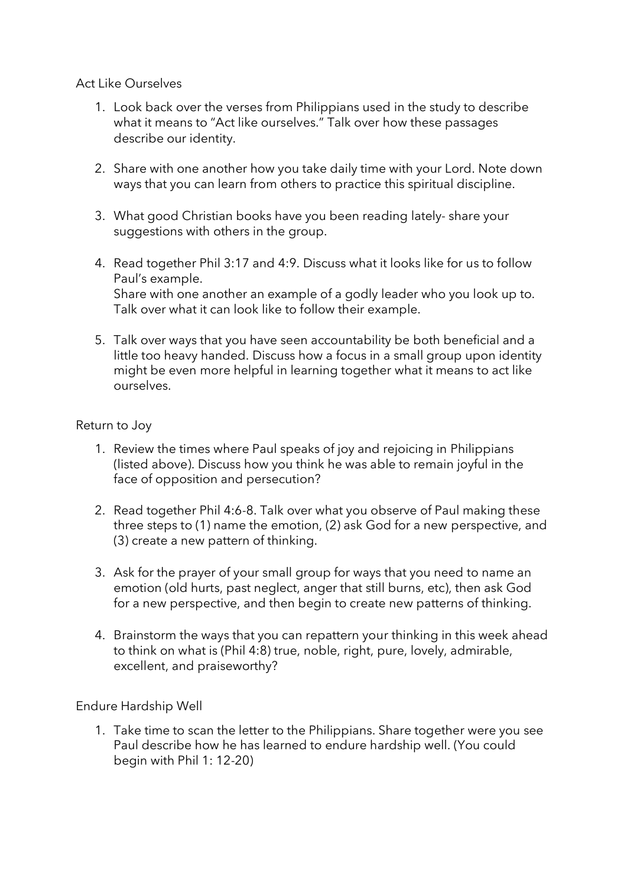### Act Like Ourselves

- 1. Look back over the verses from Philippians used in the study to describe what it means to "Act like ourselves." Talk over how these passages describe our identity.
- 2. Share with one another how you take daily time with your Lord. Note down ways that you can learn from others to practice this spiritual discipline.
- 3. What good Christian books have you been reading lately- share your suggestions with others in the group.
- 4. Read together Phil 3:17 and 4:9. Discuss what it looks like for us to follow Paul's example. Share with one another an example of a godly leader who you look up to. Talk over what it can look like to follow their example.
- 5. Talk over ways that you have seen accountability be both beneficial and a little too heavy handed. Discuss how a focus in a small group upon identity might be even more helpful in learning together what it means to act like ourselves.

### Return to Joy

- 1. Review the times where Paul speaks of joy and rejoicing in Philippians (listed above). Discuss how you think he was able to remain joyful in the face of opposition and persecution?
- 2. Read together Phil 4:6-8. Talk over what you observe of Paul making these three steps to (1) name the emotion, (2) ask God for a new perspective, and (3) create a new pattern of thinking.
- 3. Ask for the prayer of your small group for ways that you need to name an emotion (old hurts, past neglect, anger that still burns, etc), then ask God for a new perspective, and then begin to create new patterns of thinking.
- 4. Brainstorm the ways that you can repattern your thinking in this week ahead to think on what is (Phil 4:8) true, noble, right, pure, lovely, admirable, excellent, and praiseworthy?

Endure Hardship Well

1. Take time to scan the letter to the Philippians. Share together were you see Paul describe how he has learned to endure hardship well. (You could begin with Phil 1: 12-20)